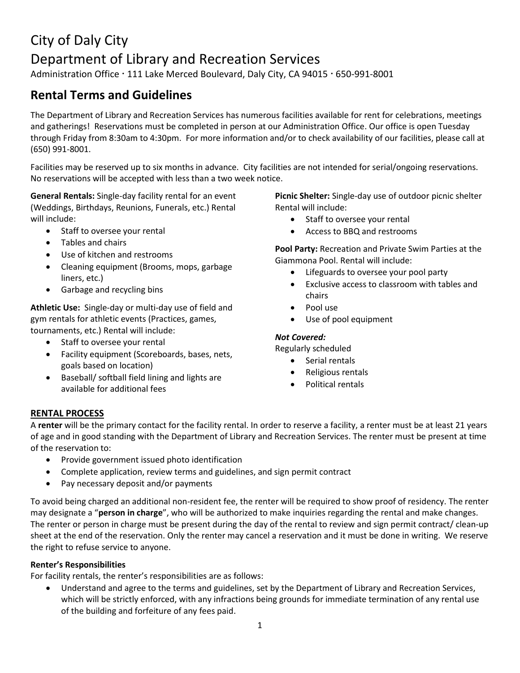# City of Daly City Department of Library and Recreation Services

Administration Office · 111 Lake Merced Boulevard, Daly City, CA 94015 · 650-991-8001

## **Rental Terms and Guidelines**

The Department of Library and Recreation Services has numerous facilities available for rent for celebrations, meetings and gatherings! Reservations must be completed in person at our Administration Office. Our office is open Tuesday through Friday from 8:30am to 4:30pm. For more information and/or to check availability of our facilities, please call at (650) 991-8001.

Facilities may be reserved up to six months in advance. City facilities are not intended for serial/ongoing reservations. No reservations will be accepted with less than a two week notice.

**General Rentals:** Single-day facility rental for an event (Weddings, Birthdays, Reunions, Funerals, etc.) Rental will include:

- Staff to oversee your rental
- Tables and chairs
- Use of kitchen and restrooms
- Cleaning equipment (Brooms, mops, garbage liners, etc.)
- Garbage and recycling bins

**Athletic Use:** Single-day or multi-day use of field and gym rentals for athletic events (Practices, games, tournaments, etc.) Rental will include:

- Staff to oversee your rental
- Facility equipment (Scoreboards, bases, nets, goals based on location)
- Baseball/ softball field lining and lights are available for additional fees

**Picnic Shelter:** Single-day use of outdoor picnic shelter Rental will include:

- Staff to oversee your rental
- Access to BBQ and restrooms

**Pool Party:** Recreation and Private Swim Parties at the Giammona Pool. Rental will include:

- Lifeguards to oversee your pool party
- Exclusive access to classroom with tables and chairs
- Pool use
- Use of pool equipment

#### *Not Covered:*

Regularly scheduled

- Serial rentals
- Religious rentals
- Political rentals

#### **RENTAL PROCESS**

A **renter** will be the primary contact for the facility rental. In order to reserve a facility, a renter must be at least 21 years of age and in good standing with the Department of Library and Recreation Services. The renter must be present at time of the reservation to:

- Provide government issued photo identification
- Complete application, review terms and guidelines, and sign permit contract
- Pay necessary deposit and/or payments

To avoid being charged an additional non-resident fee, the renter will be required to show proof of residency. The renter may designate a "**person in charge**", who will be authorized to make inquiries regarding the rental and make changes. The renter or person in charge must be present during the day of the rental to review and sign permit contract/ clean-up sheet at the end of the reservation. Only the renter may cancel a reservation and it must be done in writing. We reserve the right to refuse service to anyone.

#### **Renter's Responsibilities**

For facility rentals, the renter's responsibilities are as follows:

 Understand and agree to the terms and guidelines, set by the Department of Library and Recreation Services, which will be strictly enforced, with any infractions being grounds for immediate termination of any rental use of the building and forfeiture of any fees paid.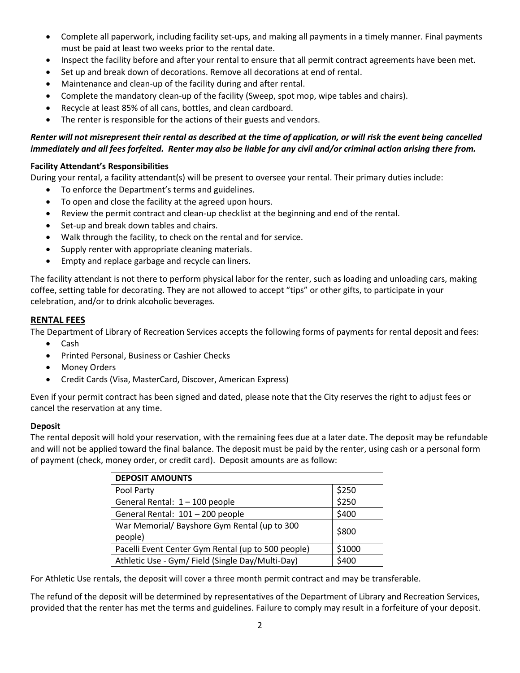- Complete all paperwork, including facility set-ups, and making all payments in a timely manner. Final payments must be paid at least two weeks prior to the rental date.
- Inspect the facility before and after your rental to ensure that all permit contract agreements have been met.
- Set up and break down of decorations. Remove all decorations at end of rental.
- Maintenance and clean-up of the facility during and after rental.
- Complete the mandatory clean-up of the facility (Sweep, spot mop, wipe tables and chairs).
- Recycle at least 85% of all cans, bottles, and clean cardboard.
- The renter is responsible for the actions of their guests and vendors.

#### *Renter will not misrepresent their rental as described at the time of application, or will risk the event being cancelled immediately and all fees forfeited. Renter may also be liable for any civil and/or criminal action arising there from.*

#### **Facility Attendant's Responsibilities**

During your rental, a facility attendant(s) will be present to oversee your rental. Their primary duties include:

- To enforce the Department's terms and guidelines.
- To open and close the facility at the agreed upon hours.
- Review the permit contract and clean-up checklist at the beginning and end of the rental.
- Set-up and break down tables and chairs.
- Walk through the facility, to check on the rental and for service.
- Supply renter with appropriate cleaning materials.
- Empty and replace garbage and recycle can liners.

The facility attendant is not there to perform physical labor for the renter, such as loading and unloading cars, making coffee, setting table for decorating. They are not allowed to accept "tips" or other gifts, to participate in your celebration, and/or to drink alcoholic beverages.

#### **RENTAL FEES**

The Department of Library of Recreation Services accepts the following forms of payments for rental deposit and fees:

- Cash
- **•** Printed Personal, Business or Cashier Checks
- Money Orders
- Credit Cards (Visa, MasterCard, Discover, American Express)

Even if your permit contract has been signed and dated, please note that the City reserves the right to adjust fees or cancel the reservation at any time.

#### **Deposit**

The rental deposit will hold your reservation, with the remaining fees due at a later date. The deposit may be refundable and will not be applied toward the final balance. The deposit must be paid by the renter, using cash or a personal form of payment (check, money order, or credit card). Deposit amounts are as follow:

| <b>DEPOSIT AMOUNTS</b>                             |        |
|----------------------------------------------------|--------|
| Pool Party                                         | \$250  |
| General Rental: 1 - 100 people                     | \$250  |
| General Rental: 101 - 200 people                   | \$400  |
| War Memorial/ Bayshore Gym Rental (up to 300       | \$800  |
| people)                                            |        |
| Pacelli Event Center Gym Rental (up to 500 people) | \$1000 |
| Athletic Use - Gym/ Field (Single Day/Multi-Day)   | \$400  |

For Athletic Use rentals, the deposit will cover a three month permit contract and may be transferable.

The refund of the deposit will be determined by representatives of the Department of Library and Recreation Services, provided that the renter has met the terms and guidelines. Failure to comply may result in a forfeiture of your deposit.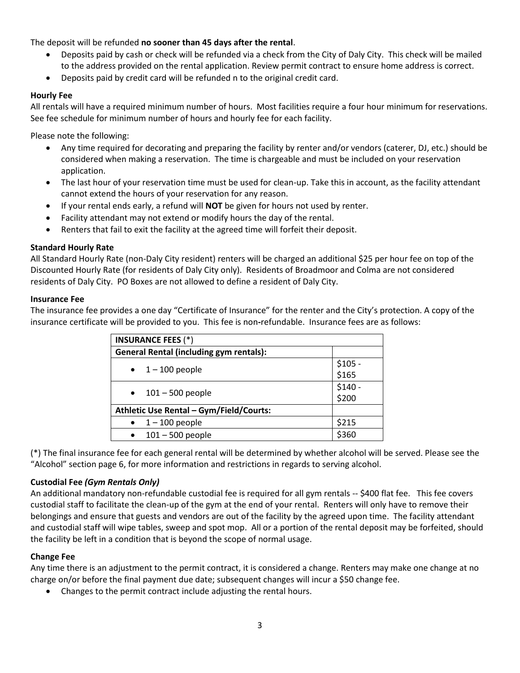The deposit will be refunded **no sooner than 45 days after the rental**.

- Deposits paid by cash or check will be refunded via a check from the City of Daly City. This check will be mailed to the address provided on the rental application. Review permit contract to ensure home address is correct.
- Deposits paid by credit card will be refunded n to the original credit card.

#### **Hourly Fee**

All rentals will have a required minimum number of hours. Most facilities require a four hour minimum for reservations. See fee schedule for minimum number of hours and hourly fee for each facility.

Please note the following:

- Any time required for decorating and preparing the facility by renter and/or vendors (caterer, DJ, etc.) should be considered when making a reservation. The time is chargeable and must be included on your reservation application.
- The last hour of your reservation time must be used for clean-up. Take this in account, as the facility attendant cannot extend the hours of your reservation for any reason.
- If your rental ends early, a refund will **NOT** be given for hours not used by renter.
- Facility attendant may not extend or modify hours the day of the rental.
- Renters that fail to exit the facility at the agreed time will forfeit their deposit.

#### **Standard Hourly Rate**

All Standard Hourly Rate (non-Daly City resident) renters will be charged an additional \$25 per hour fee on top of the Discounted Hourly Rate (for residents of Daly City only). Residents of Broadmoor and Colma are not considered residents of Daly City. PO Boxes are not allowed to define a resident of Daly City.

#### **Insurance Fee**

The insurance fee provides a one day "Certificate of Insurance" for the renter and the City's protection. A copy of the insurance certificate will be provided to you. This fee is non**-**refundable. Insurance fees are as follows:

| <b>INSURANCE FEES (*)</b>                      |          |  |
|------------------------------------------------|----------|--|
| <b>General Rental (including gym rentals):</b> |          |  |
| $\bullet$ 1 – 100 people                       | $$105 -$ |  |
|                                                | \$165    |  |
| $\bullet$ 101 – 500 people                     | $$140 -$ |  |
|                                                | \$200    |  |
| Athletic Use Rental - Gym/Field/Courts:        |          |  |
| $1 - 100$ people                               | \$215    |  |
| $101 - 500$ people<br>$\bullet$                | \$360    |  |

(\*) The final insurance fee for each general rental will be determined by whether alcohol will be served. Please see the "Alcohol" section page 6, for more information and restrictions in regards to serving alcohol.

#### **Custodial Fee** *(Gym Rentals Only)*

An additional mandatory non-refundable custodial fee is required for all gym rentals -- \$400 flat fee. This fee covers custodial staff to facilitate the clean-up of the gym at the end of your rental. Renters will only have to remove their belongings and ensure that guests and vendors are out of the facility by the agreed upon time. The facility attendant and custodial staff will wipe tables, sweep and spot mop. All or a portion of the rental deposit may be forfeited, should the facility be left in a condition that is beyond the scope of normal usage.

#### **Change Fee**

Any time there is an adjustment to the permit contract, it is considered a change. Renters may make one change at no charge on/or before the final payment due date; subsequent changes will incur a \$50 change fee.

Changes to the permit contract include adjusting the rental hours.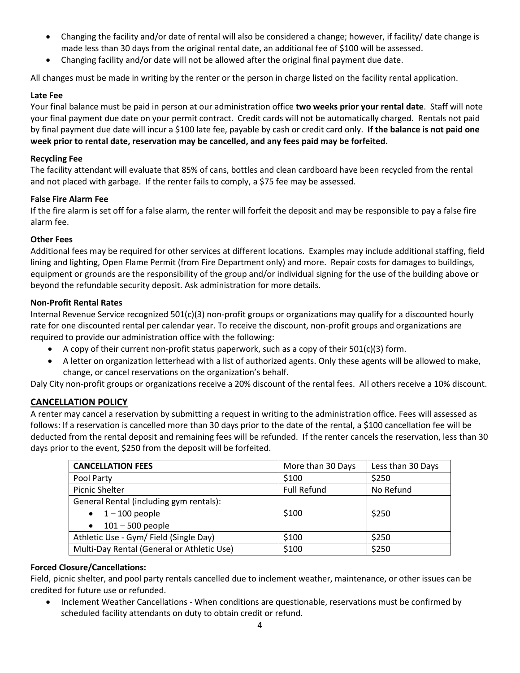- Changing the facility and/or date of rental will also be considered a change; however, if facility/ date change is made less than 30 days from the original rental date, an additional fee of \$100 will be assessed.
- Changing facility and/or date will not be allowed after the original final payment due date.

All changes must be made in writing by the renter or the person in charge listed on the facility rental application.

#### **Late Fee**

Your final balance must be paid in person at our administration office **two weeks prior your rental date**. Staff will note your final payment due date on your permit contract. Credit cards will not be automatically charged. Rentals not paid by final payment due date will incur a \$100 late fee, payable by cash or credit card only. **If the balance is not paid one week prior to rental date, reservation may be cancelled, and any fees paid may be forfeited.**

#### **Recycling Fee**

The facility attendant will evaluate that 85% of cans, bottles and clean cardboard have been recycled from the rental and not placed with garbage. If the renter fails to comply, a \$75 fee may be assessed.

#### **False Fire Alarm Fee**

If the fire alarm is set off for a false alarm, the renter will forfeit the deposit and may be responsible to pay a false fire alarm fee.

#### **Other Fees**

Additional fees may be required for other services at different locations. Examples may include additional staffing, field lining and lighting, Open Flame Permit (from Fire Department only) and more. Repair costs for damages to buildings, equipment or grounds are the responsibility of the group and/or individual signing for the use of the building above or beyond the refundable security deposit. Ask administration for more details.

#### **Non-Profit Rental Rates**

Internal Revenue Service recognized 501(c)(3) non-profit groups or organizations may qualify for a discounted hourly rate for <u>one discounted rental per calendar year</u>. To receive the discount, non-profit groups and organizations are required to provide our administration office with the following:

- A copy of their current non-profit status paperwork, such as a copy of their 501(c)(3) form.
- A letter on organization letterhead with a list of authorized agents. Only these agents will be allowed to make, change, or cancel reservations on the organization's behalf.

Daly City non-profit groups or organizations receive a 20% discount of the rental fees. All others receive a 10% discount.

#### **CANCELLATION POLICY**

A renter may cancel a reservation by submitting a request in writing to the administration office. Fees will assessed as follows: If a reservation is cancelled more than 30 days prior to the date of the rental, a \$100 cancellation fee will be deducted from the rental deposit and remaining fees will be refunded. If the renter cancels the reservation, less than 30 days prior to the event, \$250 from the deposit will be forfeited.

| <b>CANCELLATION FEES</b>                   | More than 30 Days  | Less than 30 Days |
|--------------------------------------------|--------------------|-------------------|
| Pool Party                                 | \$100              | \$250             |
| <b>Picnic Shelter</b>                      | <b>Full Refund</b> | No Refund         |
| General Rental (including gym rentals):    |                    |                   |
| $\bullet$ 1 – 100 people                   | \$100              | \$250             |
| $101 - 500$ people<br>$\bullet$            |                    |                   |
| Athletic Use - Gym/ Field (Single Day)     | \$100              | \$250             |
| Multi-Day Rental (General or Athletic Use) | \$100              | \$250             |

#### **Forced Closure/Cancellations:**

Field, picnic shelter, and pool party rentals cancelled due to inclement weather, maintenance, or other issues can be credited for future use or refunded.

 Inclement Weather Cancellations - When conditions are questionable, reservations must be confirmed by scheduled facility attendants on duty to obtain credit or refund.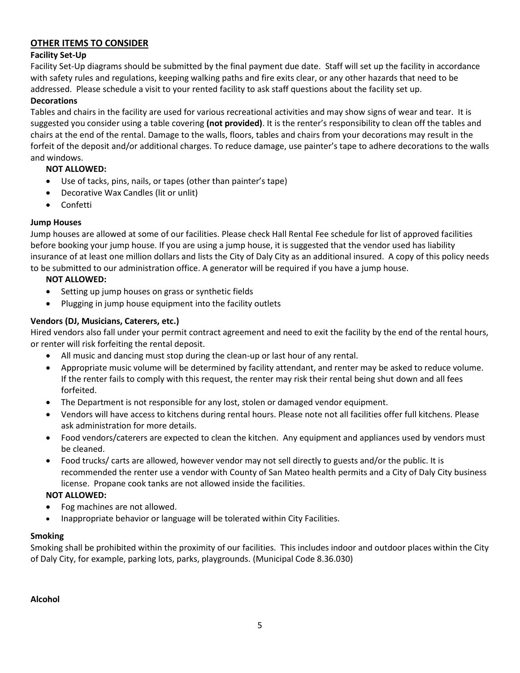#### **OTHER ITEMS TO CONSIDER**

#### **Facility Set-Up**

Facility Set-Up diagrams should be submitted by the final payment due date. Staff will set up the facility in accordance with safety rules and regulations, keeping walking paths and fire exits clear, or any other hazards that need to be addressed. Please schedule a visit to your rented facility to ask staff questions about the facility set up.

#### **Decorations**

Tables and chairs in the facility are used for various recreational activities and may show signs of wear and tear. It is suggested you consider using a table covering **(not provided)**. It is the renter's responsibility to clean off the tables and chairs at the end of the rental. Damage to the walls, floors, tables and chairs from your decorations may result in the forfeit of the deposit and/or additional charges. To reduce damage, use painter's tape to adhere decorations to the walls and windows.

#### **NOT ALLOWED:**

- Use of tacks, pins, nails, or tapes (other than painter's tape)
- Decorative Wax Candles (lit or unlit)
- Confetti

#### **Jump Houses**

Jump houses are allowed at some of our facilities. Please check Hall Rental Fee schedule for list of approved facilities before booking your jump house. If you are using a jump house, it is suggested that the vendor used has liability insurance of at least one million dollars and lists the City of Daly City as an additional insured. A copy of this policy needs to be submitted to our administration office. A generator will be required if you have a jump house.

#### **NOT ALLOWED:**

- Setting up jump houses on grass or synthetic fields
- Plugging in jump house equipment into the facility outlets

#### **Vendors (DJ, Musicians, Caterers, etc.)**

Hired vendors also fall under your permit contract agreement and need to exit the facility by the end of the rental hours, or renter will risk forfeiting the rental deposit.

- All music and dancing must stop during the clean-up or last hour of any rental.
- Appropriate music volume will be determined by facility attendant, and renter may be asked to reduce volume. If the renter fails to comply with this request, the renter may risk their rental being shut down and all fees forfeited.
- The Department is not responsible for any lost, stolen or damaged vendor equipment.
- Vendors will have access to kitchens during rental hours. Please note not all facilities offer full kitchens. Please ask administration for more details.
- Food vendors/caterers are expected to clean the kitchen. Any equipment and appliances used by vendors must be cleaned.
- Food trucks/ carts are allowed, however vendor may not sell directly to guests and/or the public. It is recommended the renter use a vendor with County of San Mateo health permits and a City of Daly City business license. Propane cook tanks are not allowed inside the facilities.

#### **NOT ALLOWED:**

- Fog machines are not allowed.
- Inappropriate behavior or language will be tolerated within City Facilities.

#### **Smoking**

Smoking shall be prohibited within the proximity of our facilities. This includes indoor and outdoor places within the City of Daly City, for example, parking lots, parks, playgrounds. (Municipal Code 8.36.030)

#### **Alcohol**